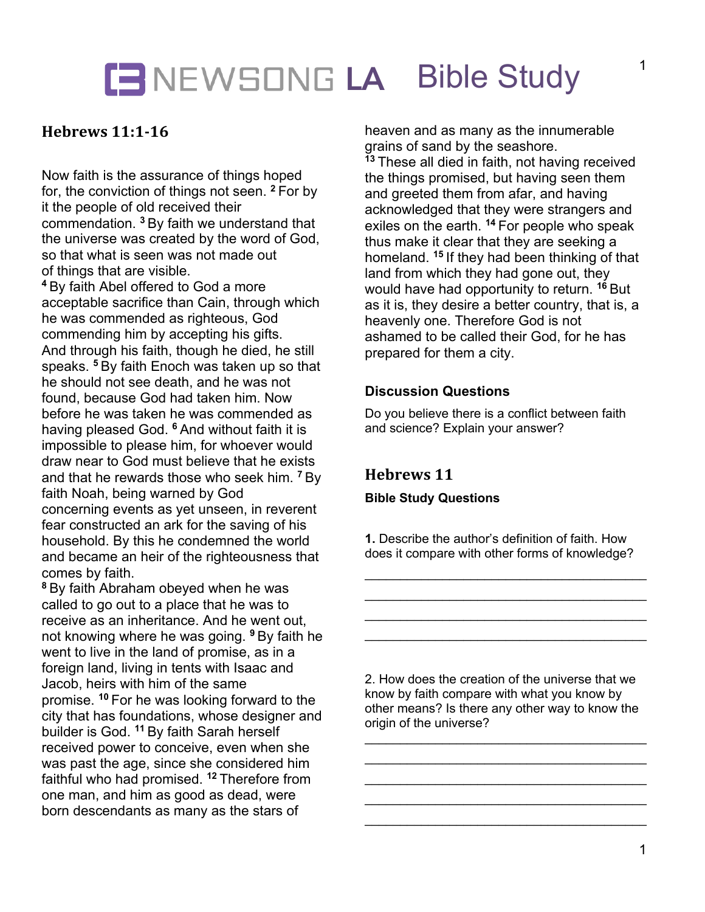## **LE NEWSONG LA Bible Study**

## **Hebrews 11:1-16**

Now faith is the assurance of things hoped for, the conviction of things not seen. **<sup>2</sup>** For by it the people of old received their commendation. **<sup>3</sup>** By faith we understand that the universe was created by the word of God, so that what is seen was not made out of things that are visible.

**<sup>4</sup>** By faith Abel offered to God a more acceptable sacrifice than Cain, through which he was commended as righteous, God commending him by accepting his gifts. And through his faith, though he died, he still speaks. **<sup>5</sup>** By faith Enoch was taken up so that he should not see death, and he was not found, because God had taken him. Now before he was taken he was commended as having pleased God. **<sup>6</sup>** And without faith it is impossible to please him, for whoever would draw near to God must believe that he exists and that he rewards those who seek him. **<sup>7</sup>** By faith Noah, being warned by God concerning events as yet unseen, in reverent fear constructed an ark for the saving of his household. By this he condemned the world and became an heir of the righteousness that comes by faith.

**<sup>8</sup>** By faith Abraham obeyed when he was called to go out to a place that he was to receive as an inheritance. And he went out, not knowing where he was going. **<sup>9</sup>** By faith he went to live in the land of promise, as in a foreign land, living in tents with Isaac and Jacob, heirs with him of the same promise. **<sup>10</sup>** For he was looking forward to the city that has foundations, whose designer and builder is God. **<sup>11</sup>** By faith Sarah herself received power to conceive, even when she was past the age, since she considered him faithful who had promised. **<sup>12</sup>** Therefore from one man, and him as good as dead, were born descendants as many as the stars of

heaven and as many as the innumerable grains of sand by the seashore. **<sup>13</sup>** These all died in faith, not having received the things promised, but having seen them and greeted them from afar, and having acknowledged that they were strangers and exiles on the earth. **<sup>14</sup>** For people who speak thus make it clear that they are seeking a homeland. **<sup>15</sup>** If they had been thinking of that land from which they had gone out, they would have had opportunity to return. **<sup>16</sup>** But as it is, they desire a better country, that is, a heavenly one. Therefore God is not ashamed to be called their God, for he has prepared for them a city.

## **Discussion Questions**

Do you believe there is a conflict between faith and science? Explain your answer?

## **Hebrews 11**

#### **Bible Study Questions**

**1.** Describe the author's definition of faith. How does it compare with other forms of knowledge?

 $\overline{\phantom{a}}$  , which is a set of the set of the set of the set of the set of the set of the set of the set of the set of the set of the set of the set of the set of the set of the set of the set of the set of the set of th  $\overline{\phantom{a}}$  , which is a set of the set of the set of the set of the set of the set of the set of the set of the set of the set of the set of the set of the set of the set of the set of the set of the set of the set of th  $\overline{\phantom{a}}$  , which is a set of the set of the set of the set of the set of the set of the set of the set of the set of the set of the set of the set of the set of the set of the set of the set of the set of the set of th \_\_\_\_\_\_\_\_\_\_\_\_\_\_\_\_\_\_\_\_\_\_\_\_\_\_\_\_\_\_\_\_\_\_\_\_\_\_\_\_

2. How does the creation of the universe that we know by faith compare with what you know by other means? Is there any other way to know the origin of the universe?

\_\_\_\_\_\_\_\_\_\_\_\_\_\_\_\_\_\_\_\_\_\_\_\_\_\_\_\_\_\_\_\_\_\_\_\_\_\_\_\_

\_\_\_\_\_\_\_\_\_\_\_\_\_\_\_\_\_\_\_\_\_\_\_\_\_\_\_\_\_\_\_\_\_\_\_\_\_\_\_\_

 $\overline{\phantom{a}}$  , which is a set of the set of the set of the set of the set of the set of the set of the set of the set of the set of the set of the set of the set of the set of the set of the set of the set of the set of th